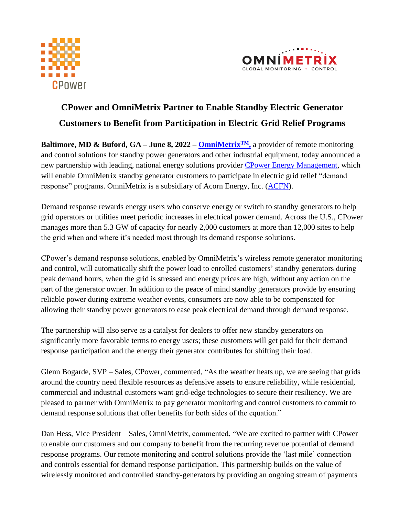



# **CPower and OmniMetrix Partner to Enable Standby Electric Generator Customers to Benefit from Participation in Electric Grid Relief Programs**

**Baltimore, MD & Buford, GA – June 8, 2022 – [OmniMetrix](https://www.omnimetrix.net/)TM,** a provider of remote monitoring and control solutions for standby power generators and other industrial equipment, today announced a new partnership with leading, national energy solutions provider [CPower Energy Management,](https://cpowerenergymanagement.com/) which will enable OmniMetrix standby generator customers to participate in electric grid relief "demand response" programs. OmniMetrix is a subsidiary of Acorn Energy, Inc. [\(ACFN\)](https://www.otcmarkets.com/stock/ACFN/overview).

Demand response rewards energy users who conserve energy or switch to standby generators to help grid operators or utilities meet periodic increases in electrical power demand. Across the U.S., CPower manages more than 5.3 GW of capacity for nearly 2,000 customers at more than 12,000 sites to help the grid when and where it's needed most through its demand response solutions.

CPower's demand response solutions, enabled by OmniMetrix's wireless remote generator monitoring and control, will automatically shift the power load to enrolled customers' standby generators during peak demand hours, when the grid is stressed and energy prices are high, without any action on the part of the generator owner. In addition to the peace of mind standby generators provide by ensuring reliable power during extreme weather events, consumers are now able to be compensated for allowing their standby power generators to ease peak electrical demand through demand response.

The partnership will also serve as a catalyst for dealers to offer new standby generators on significantly more favorable terms to energy users; these customers will get paid for their demand response participation and the energy their generator contributes for shifting their load.

Glenn Bogarde, SVP – Sales, CPower, commented, "As the weather heats up, we are seeing that grids around the country need flexible resources as defensive assets to ensure reliability, while residential, commercial and industrial customers want grid-edge technologies to secure their resiliency. We are pleased to partner with OmniMetrix to pay generator monitoring and control customers to commit to demand response solutions that offer benefits for both sides of the equation."

Dan Hess, Vice President – Sales, OmniMetrix, commented, "We are excited to partner with CPower to enable our customers and our company to benefit from the recurring revenue potential of demand response programs. Our remote monitoring and control solutions provide the 'last mile' connection and controls essential for demand response participation. This partnership builds on the value of wirelessly monitored and controlled standby-generators by providing an ongoing stream of payments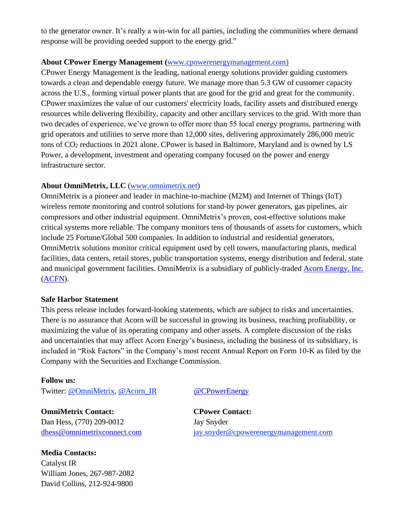to the generator owner. It's really a win-win for all parties, including the communities where demand response will be providing needed support to the energy grid."

#### **About CPower Energy Management (**[www.cpowerenergymanagement.com\)](http://www.cpowerenergymanagement.com/)

CPower Energy Management is the leading, national energy solutions provider guiding customers towards a clean and dependable energy future. We manage more than 5.3 GW of customer capacity across the U.S., forming virtual power plants that are good for the grid and great for the community. CPower maximizes the value of our customers' electricity loads, facility assets and distributed energy resources while delivering flexibility, capacity and other ancillary services to the grid. With more than two decades of experience, we've grown to offer more than 55 local energy programs, partnering with grid operators and utilities to serve more than 12,000 sites, delivering approximately 286,000 metric tons of CO<sup>2</sup> reductions in 2021 alone. CPower is based in Baltimore, Maryland and is owned by LS Power, a development, investment and operating company focused on the power and energy infrastructure sector.

## **About OmniMetrix, LLC** [\(www.omnimetrix.net\)](http://www.omnimetrix.net/)

OmniMetrix is a pioneer and leader in machine-to-machine (M2M) and Internet of Things (IoT) wireless remote monitoring and control solutions for stand-by power generators, gas pipelines, air compressors and other industrial equipment. OmniMetrix's proven, cost-effective solutions make critical systems more reliable. The company monitors tens of thousands of assets for customers, which include 25 Fortune/Global 500 companies. In addition to industrial and residential generators, OmniMetrix solutions monitor critical equipment used by cell towers, manufacturing plants, medical facilities, data centers, retail stores, public transportation systems, energy distribution and federal, state and municipal government facilities. OmniMetrix is a subsidiary of publicly-traded [Acorn Energy, Inc.](http://acornenergy.com/) [\(ACFN\)](https://www.otcmarkets.com/stock/ACFN/overview).

### **Safe Harbor Statement**

This press release includes forward-looking statements, which are subject to risks and uncertainties. There is no assurance that Acorn will be successful in growing its business, reaching profitability, or maximizing the value of its operating company and other assets. A complete discussion of the risks and uncertainties that may affect Acorn Energy's business, including the business of its subsidiary, is included in "Risk Factors" in the Company's most recent Annual Report on Form 10-K as filed by the Company with the Securities and Exchange Commission.

#### **Follow us:**

Twitter: [@OmniMetrix,](https://twitter.com/OmniMetrix) [@Acorn\\_IR](https://twitter.com/ACORN_IR) [@CPowerEnergy](https://twitter.com/CPowerEnergy)

**OmniMetrix Contact: CPower Contact:** 

Dan Hess, (770) 209-0012 Jay Snyder

**Media Contacts:** Catalyst IR William Jones, 267-987-2082 David Collins, 212-924-9800

[dhess@omnimetrixconnect.com](mailto:dhess@omnimetrixconnect.com) [jay.snyder@cpowerenergymanagement.com](http://jay.snyder@cpowerenergymanagement.com)